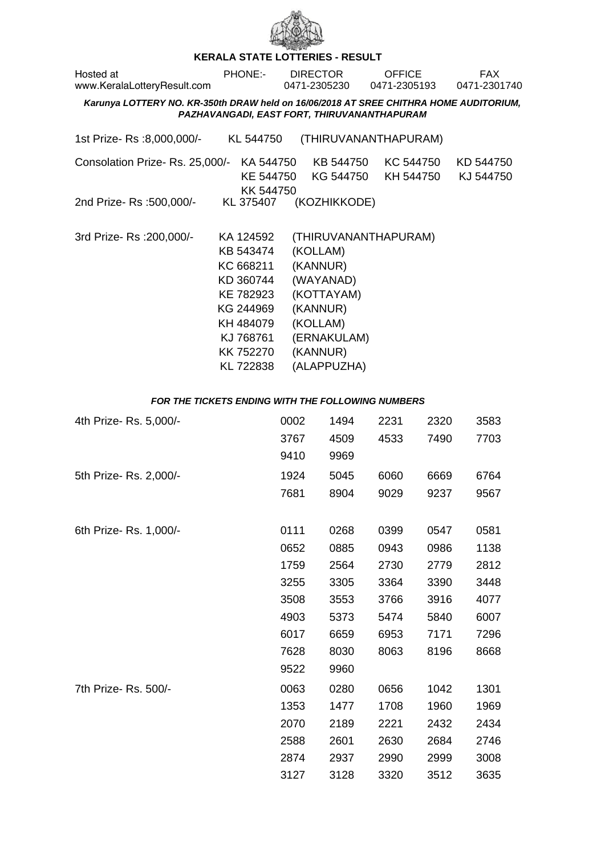

## **KERALA STATE LOTTERIES - RESULT**

| Hosted at<br>www.KeralaLotteryResult.com                                                                                             | <b>PHONE:-</b>                                                                                                                 |              | <b>DIRECTOR</b><br>0471-2305230                                                                                   | <b>OFFICE</b><br>0471-2305193 |              | <b>FAX</b><br>0471-2301740 |  |  |
|--------------------------------------------------------------------------------------------------------------------------------------|--------------------------------------------------------------------------------------------------------------------------------|--------------|-------------------------------------------------------------------------------------------------------------------|-------------------------------|--------------|----------------------------|--|--|
| Karunya LOTTERY NO. KR-350th DRAW held on 16/06/2018 AT SREE CHITHRA HOME AUDITORIUM,<br>PAZHAVANGADI, EAST FORT, THIRUVANANTHAPURAM |                                                                                                                                |              |                                                                                                                   |                               |              |                            |  |  |
| 1st Prize-Rs :8,000,000/-                                                                                                            | KL 544750                                                                                                                      |              |                                                                                                                   | (THIRUVANANTHAPURAM)          |              |                            |  |  |
| Consolation Prize-Rs. 25,000/-                                                                                                       | KK 544750                                                                                                                      |              | KA 544750 KB 544750<br>KE 544750 KG 544750                                                                        | KC 544750<br>KH 544750        |              | KD 544750<br>KJ 544750     |  |  |
| 2nd Prize-Rs: 500,000/-                                                                                                              | KL 375407                                                                                                                      |              | (KOZHIKKODE)                                                                                                      |                               |              |                            |  |  |
| 3rd Prize-Rs : 200,000/-                                                                                                             | KA 124592<br>KB 543474<br>KC 668211<br>KD 360744<br>KE 782923<br>KG 244969<br>KH 484079<br>KJ 768761<br>KK 752270<br>KL 722838 |              | (KOLLAM)<br>(KANNUR)<br>(WAYANAD)<br>(KOTTAYAM)<br>(KANNUR)<br>(KOLLAM)<br>(ERNAKULAM)<br>(KANNUR)<br>(ALAPPUZHA) | (THIRUVANANTHAPURAM)          |              |                            |  |  |
| FOR THE TICKETS ENDING WITH THE FOLLOWING NUMBERS                                                                                    |                                                                                                                                |              |                                                                                                                   |                               |              |                            |  |  |
| 4th Prize-Rs. 5,000/-                                                                                                                |                                                                                                                                | 0002<br>3767 | 1494<br>4509                                                                                                      | 2231<br>4533                  | 2320<br>7490 | 3583<br>7703               |  |  |

|                        | 3767 | 4509 | 4533 | 7490 | 7703 |
|------------------------|------|------|------|------|------|
|                        | 9410 | 9969 |      |      |      |
| 5th Prize- Rs. 2,000/- | 1924 | 5045 | 6060 | 6669 | 6764 |
|                        | 7681 | 8904 | 9029 | 9237 | 9567 |
| 6th Prize- Rs. 1,000/- | 0111 | 0268 | 0399 | 0547 | 0581 |
|                        | 0652 | 0885 | 0943 | 0986 | 1138 |
|                        | 1759 | 2564 | 2730 | 2779 | 2812 |
|                        | 3255 | 3305 | 3364 | 3390 | 3448 |
|                        | 3508 | 3553 | 3766 | 3916 | 4077 |
|                        | 4903 | 5373 | 5474 | 5840 | 6007 |
|                        | 6017 | 6659 | 6953 | 7171 | 7296 |
|                        | 7628 | 8030 | 8063 | 8196 | 8668 |
|                        | 9522 | 9960 |      |      |      |
| 7th Prize- Rs. 500/-   | 0063 | 0280 | 0656 | 1042 | 1301 |
|                        | 1353 | 1477 | 1708 | 1960 | 1969 |
|                        | 2070 | 2189 | 2221 | 2432 | 2434 |
|                        | 2588 | 2601 | 2630 | 2684 | 2746 |
|                        | 2874 | 2937 | 2990 | 2999 | 3008 |
|                        | 3127 | 3128 | 3320 | 3512 | 3635 |